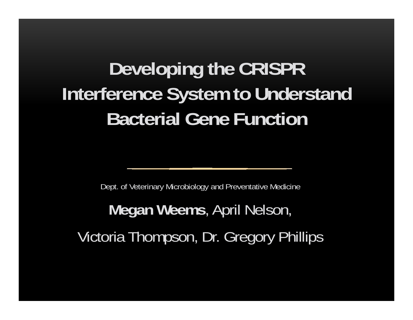# **Developing the CRISPR Interference System to Understand Bacterial Gene Function**

Dept. of Veterinary Microbiology and Preventative Medicine

**Megan Weems**, April Nelson, Victoria Thompson, Dr. Gregory Phillips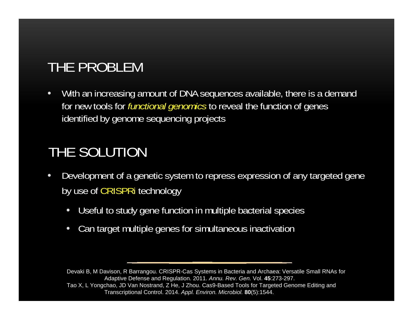# THE PROBLEM

• With an increasing amount of DNA sequences available, there is a demand for new tools for *functional genomics* to reveal the function of genes identified by genome sequencing projects

# THE SOLUTION

- $\bullet$  Development of a genetic system to repress expression of any targeted gene by use of CRISPRi technology
	- •Useful to study gene function in multiple bacterial species
	- •Can target multiple genes for simultaneous inactivation

Devaki B, M Davison, R Barrangou. CRISPR-Cas Systems in Bacteria and Archaea: Versatile Small RNAs for Adaptive Defense and Regulation. 2011. *Annu. Rev. Gen.* Vol. **45**:273-297. Tao X, L Yongchao, JD Van Nostrand, Z He, J Zhou. Cas9-Based Tools for Targeted Genome Editing and Transcriptional Control. 2014. *Appl. Environ. Microbiol.* **80**(5):1544.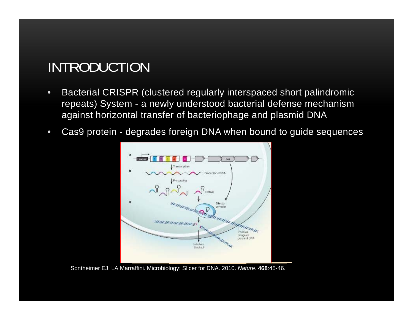### INTRODUCTION

- • Bacterial CRISPR (clustered regularly interspaced short palindromic repeats) System - a newly understood bacterial defense mechanism against horizontal transfer of bacteriophage and plasmid DNA
- $\bullet$ Cas9 protein - degrades foreign DNA when bound to guide sequences



Sontheimer EJ, LA Marraffini. Microbiology: Slicer for DNA. 2010. *Nature*. **468**:45-46.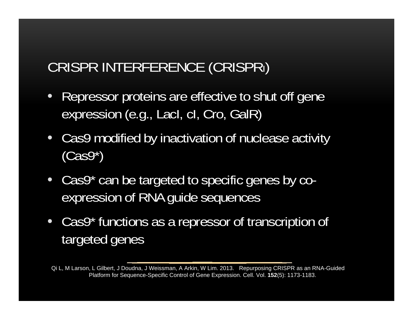# CRISPR INTERFERENCE (CRISPRI)

- • Repressor proteins are effective to shut off gene expression (e.g., LacI, cI, Cro, GalR)
- Cas9 modified by inactivation of nuclease activity  $(Cas9*)$
- Cas9\* can be targeted to specific genes by coexpression of RNA guide sequences
- $\bullet$  Cas9\* functions as a repressor of transcription of targeted genes

Qi L, M Larson, L Gilbert, J Doudna, J Weissman, A Arkin, W Lim. 2013. Repurposing CRISPR as an RNA-Guided Platform for Sequence-Specific Control of Gene Expression. Cell. Vol. **152**(5): 1173-1183.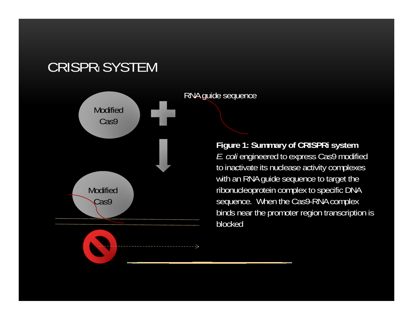### CRISPRI SYSTEM



**Figure 1: Summary of CRISPRi system**  *E. coli* engineered to express Cas9 modified to inactivate its nuclease activity complexes with an RNA guide sequence to target the ribonucleoprotein complex to specific DNA sequence. When the Cas9-RNA complex binds near the promoter region transcription is blocked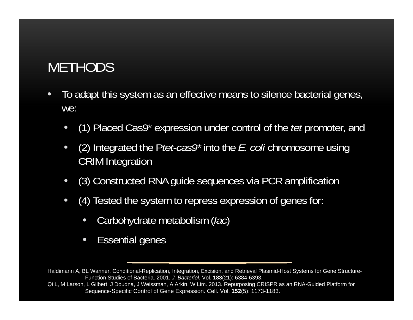# **METHODS**

- $\bullet$  To adapt this system as an effective means to silence bacterial genes, we:
	- $\bullet$ (1) Placed Cas9\* expression under control of the *tet* promoter, and
	- $\bullet$  (2) Integrated the P*tet-cas9\** into the *E. coli* chromosome using CRIM Integration
	- $\bullet$ (3) Constructed RNA guide sequences via PCR amplification
	- $\bullet$  (4) Tested the system to repress expression of genes for:
		- •Carbohydrate metabolism (*lac*)
		- $\bullet$ Essential genes

Haldimann A, BL Wanner. Conditional-Replication, Integration, Excision, and Retrieval Plasmid-Host Systems for Gene Structure-Function Studies of Bacteria. 2001. *J. Bacteriol.* Vol. **183**(21): 6384-6393.

Qi L, M Larson, L Gilbert, J Doudna, J Weissman, A Arkin, W Lim. 2013. Repurposing CRISPR as an RNA-Guided Platform for Sequence-Specific Control of Gene Expression. Cell. Vol. **152**(5): 1173-1183.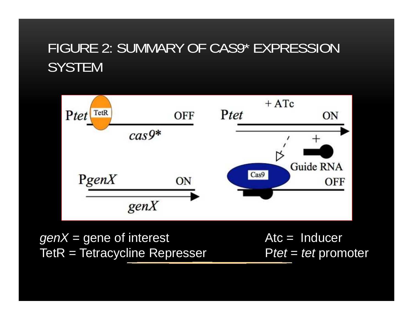## FIGURE 2: SUMMARY OF CAS9\* EXPRESSION **SYSTEM**



*genX* = gene of interest Atc = Inducer TetR = Tetracycline Represser Ptet = tet promoter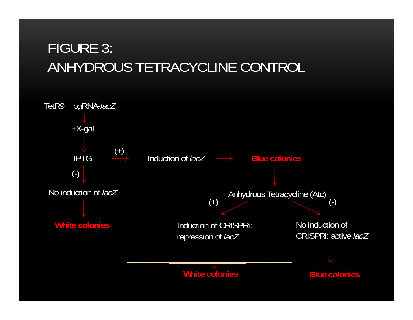# FIGURE 3: ANHYDROUS TETRACYCLINE CONTROL

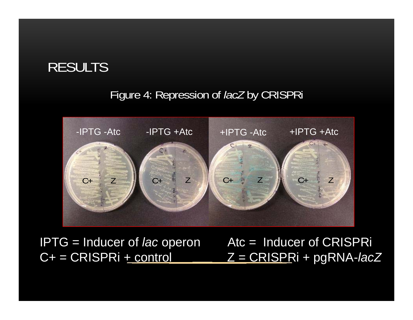### RESULTS

#### Figure 4: Repression of *lacZ* by CRISPRi



IPTG = Inducer of *lac*Atc = Inducer of CRISPRi C+ = CRISPRi + control Z = CRISPRi + pgRNA-*lacZ*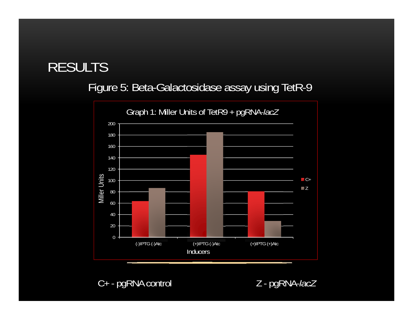### RESULTS

#### Figure 5: Beta-Galactosidase assay using TetR-9



C+ - pgRNA control Z - pgRNA-*lacZ*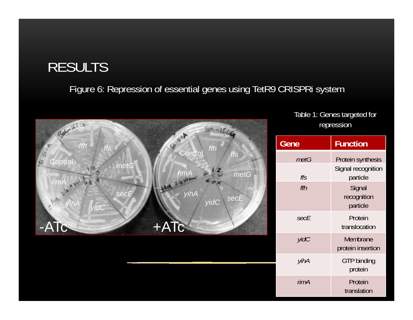### RESULTS

#### Figure 6: Repression of essential genes using TetR9 CRISPRi system



Table 1: Genes targeted for repression

| Gene | <b>Function</b>                   |
|------|-----------------------------------|
| metG | Protein synthesis                 |
| ffs  | Signal recognition<br>particle    |
| ffh  | Signal<br>recognition<br>particle |
| secE | Protein<br>translocation          |
| yidC | Membrane<br>protein insertion     |
| yihA | <b>GTP binding</b><br>protein     |
| rimA | Protein<br>translation            |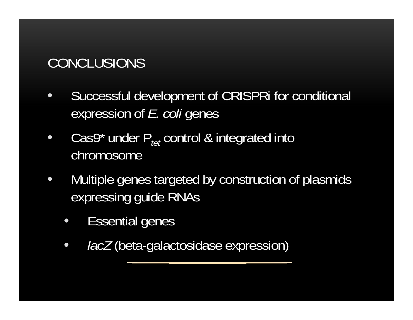# CONCLUSIONS

- • Successful development of CRISPRi for conditional expression of *E. coli* genes
- $\bullet$ • Cas9\* under P<sub>tet</sub> control & integrated into chromosome
- $\bullet$  Multiple genes targeted by construction of plasmids expressing guide RNAs
	- $\bullet$ Essential genes
	- •*lacZ* (beta-galactosidase expression)